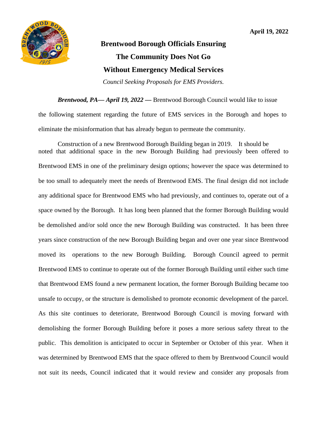

## **Brentwood Borough Officials Ensuring The Community Does Not Go Without Emergency Medical Services**

*Council Seeking Proposals for EMS Providers.*

*Brentwood, PA— April 19, 2022 —* Brentwood Borough Council would like to issue the following statement regarding the future of EMS services in the Borough and hopes to eliminate the misinformation that has already begun to permeate the community.

Construction of a new Brentwood Borough Building began in 2019. It should be noted that additional space in the new Borough Building had previously been offered to Brentwood EMS in one of the preliminary design options; however the space was determined to be too small to adequately meet the needs of Brentwood EMS. The final design did not include any additional space for Brentwood EMS who had previously, and continues to, operate out of a space owned by the Borough. It has long been planned that the former Borough Building would be demolished and/or sold once the new Borough Building was constructed. It has been three years since construction of the new Borough Building began and over one year since Brentwood moved its operations to the new Borough Building. Borough Council agreed to permit Brentwood EMS to continue to operate out of the former Borough Building until either such time that Brentwood EMS found a new permanent location, the former Borough Building became too unsafe to occupy, or the structure is demolished to promote economic development of the parcel. As this site continues to deteriorate, Brentwood Borough Council is moving forward with demolishing the former Borough Building before it poses a more serious safety threat to the public. This demolition is anticipated to occur in September or October of this year. When it was determined by Brentwood EMS that the space offered to them by Brentwood Council would not suit its needs, Council indicated that it would review and consider any proposals from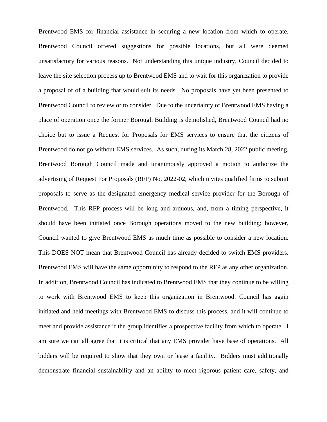Brentwood EMS for financial assistance in securing a new location from which to operate. Brentwood Council offered suggestions for possible locations, but all were deemed unsatisfactory for various reasons. Not understanding this unique industry, Council decided to leave the site selection process up to Brentwood EMS and to wait for this organization to provide a proposal of of a building that would suit its needs. No proposals have yet been presented to Brentwood Council to review or to consider. Due to the uncertainty of Brentwood EMS having a place of operation once the former Borough Building is demolished, Brentwood Council had no choice but to issue a Request for Proposals for EMS services to ensure that the citizens of Brentwood do not go without EMS services. As such, during its March 28, 2022 public meeting, Brentwood Borough Council made and unanimously approved a motion to authorize the advertising of Request For Proposals (RFP) No. 2022-02, which invites qualified firms to submit proposals to serve as the designated emergency medical service provider for the Borough of Brentwood. This RFP process will be long and arduous, and, from a timing perspective, it should have been initiated once Borough operations moved to the new building; however, Council wanted to give Brentwood EMS as much time as possible to consider a new location. This DOES NOT mean that Brentwood Council has already decided to switch EMS providers. Brentwood EMS will have the same opportunity to respond to the RFP as any other organization. In addition, Brentwood Council has indicated to Brentwood EMS that they continue to be willing to work with Brentwood EMS to keep this organization in Brentwood. Council has again initiated and held meetings with Brentwood EMS to discuss this process, and it will continue to meet and provide assistance if the group identifies a prospective facility from which to operate. I am sure we can all agree that it is critical that any EMS provider have base of operations. All bidders will be required to show that they own or lease a facility. Bidders must additionally demonstrate financial sustainability and an ability to meet rigorous patient care, safety, and